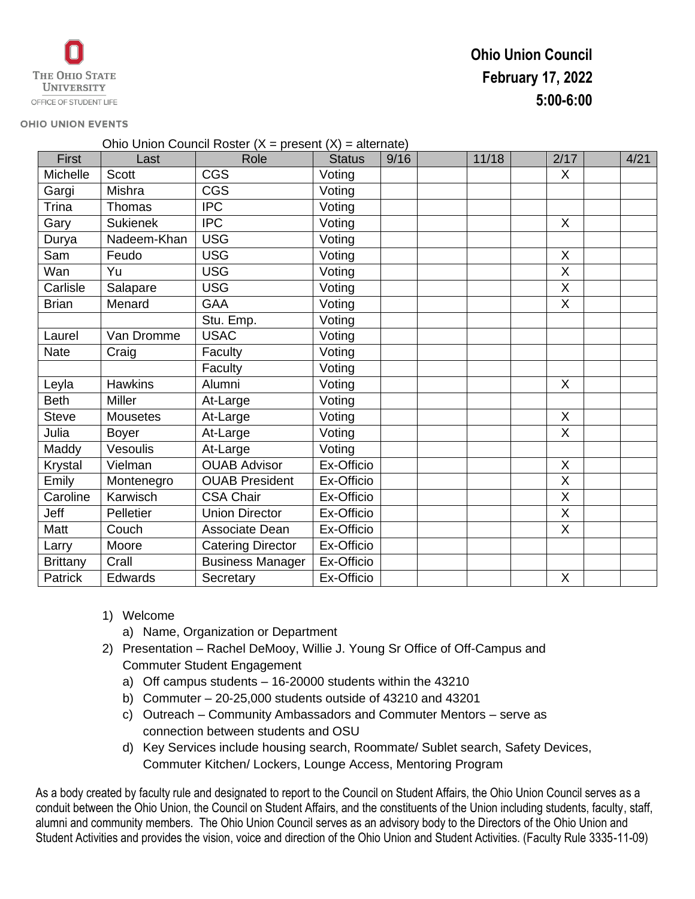## **Ohio Union Council February 17, 2022 5:00-6:00**

## **OHIO UNION EVENTS**

| Ohio Union Council Roster ( $X =$ present ( $X$ ) = alternate) |                 |                          |               |      |  |       |                         |  |      |
|----------------------------------------------------------------|-----------------|--------------------------|---------------|------|--|-------|-------------------------|--|------|
| <b>First</b>                                                   | Last            | Role                     | <b>Status</b> | 9/16 |  | 11/18 | 2/17                    |  | 4/21 |
| Michelle                                                       | <b>Scott</b>    | <b>CGS</b>               | Voting        |      |  |       | X                       |  |      |
| Gargi                                                          | Mishra          | <b>CGS</b>               | Voting        |      |  |       |                         |  |      |
| Trina                                                          | Thomas          | $\overline{IPC}$         | Voting        |      |  |       |                         |  |      |
| Gary                                                           | <b>Sukienek</b> | <b>IPC</b>               | Voting        |      |  |       | X                       |  |      |
| Durya                                                          | Nadeem-Khan     | <b>USG</b>               | Voting        |      |  |       |                         |  |      |
| Sam                                                            | Feudo           | <b>USG</b>               | Voting        |      |  |       | X                       |  |      |
| Wan                                                            | Yu              | <b>USG</b>               | Voting        |      |  |       | X                       |  |      |
| Carlisle                                                       | Salapare        | <b>USG</b>               | Voting        |      |  |       | X                       |  |      |
| <b>Brian</b>                                                   | Menard          | <b>GAA</b>               | Voting        |      |  |       | $\overline{X}$          |  |      |
|                                                                |                 | Stu. Emp.                | Voting        |      |  |       |                         |  |      |
| Laurel                                                         | Van Dromme      | <b>USAC</b>              | Voting        |      |  |       |                         |  |      |
| <b>Nate</b>                                                    | Craig           | Faculty                  | Voting        |      |  |       |                         |  |      |
|                                                                |                 | Faculty                  | Voting        |      |  |       |                         |  |      |
| Leyla                                                          | <b>Hawkins</b>  | Alumni                   | Voting        |      |  |       | X                       |  |      |
| <b>Beth</b>                                                    | <b>Miller</b>   | At-Large                 | Voting        |      |  |       |                         |  |      |
| <b>Steve</b>                                                   | <b>Mousetes</b> | At-Large                 | Voting        |      |  |       | X                       |  |      |
| Julia                                                          | <b>Boyer</b>    | At-Large                 | Voting        |      |  |       | $\overline{\mathsf{X}}$ |  |      |
| Maddy                                                          | Vesoulis        | At-Large                 | Voting        |      |  |       |                         |  |      |
| Krystal                                                        | Vielman         | <b>OUAB Advisor</b>      | Ex-Officio    |      |  |       | X                       |  |      |
| Emily                                                          | Montenegro      | <b>OUAB President</b>    | Ex-Officio    |      |  |       | $\overline{X}$          |  |      |
| Caroline                                                       | Karwisch        | <b>CSA Chair</b>         | Ex-Officio    |      |  |       | $\overline{\mathsf{X}}$ |  |      |
| Jeff                                                           | Pelletier       | <b>Union Director</b>    | Ex-Officio    |      |  |       | X                       |  |      |
| Matt                                                           | Couch           | Associate Dean           | Ex-Officio    |      |  |       | $\overline{X}$          |  |      |
| Larry                                                          | Moore           | <b>Catering Director</b> | Ex-Officio    |      |  |       |                         |  |      |
| <b>Brittany</b>                                                | Crall           | <b>Business Manager</b>  | Ex-Officio    |      |  |       |                         |  |      |
| Patrick                                                        | Edwards         | Secretary                | Ex-Officio    |      |  |       | $\sf X$                 |  |      |

- 1) Welcome
	- a) Name, Organization or Department
- 2) Presentation Rachel DeMooy, Willie J. Young Sr Office of Off-Campus and Commuter Student Engagement
	- a) Off campus students 16-20000 students within the 43210
	- b) Commuter 20-25,000 students outside of 43210 and 43201
	- c) Outreach Community Ambassadors and Commuter Mentors serve as connection between students and OSU
	- d) Key Services include housing search, Roommate/ Sublet search, Safety Devices, Commuter Kitchen/ Lockers, Lounge Access, Mentoring Program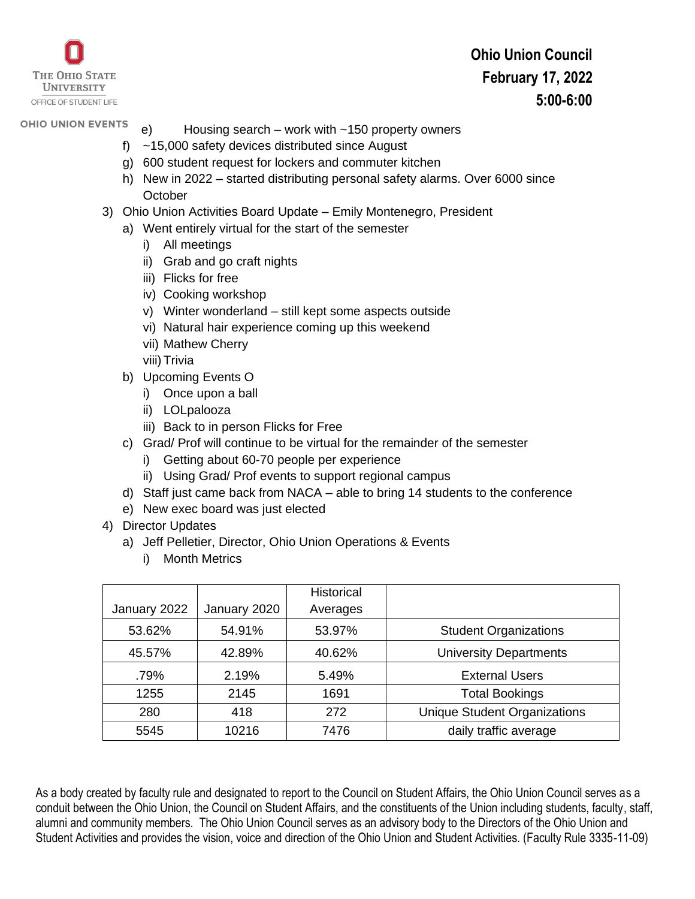

## **Ohio Union Council February 17, 2022 5:00-6:00**

## **OHIO UNION EVENTS**

- e) Housing search work with ~150 property owners
- f) ~15,000 safety devices distributed since August
- g) 600 student request for lockers and commuter kitchen
- h) New in 2022 started distributing personal safety alarms. Over 6000 since **October**
- 3) Ohio Union Activities Board Update Emily Montenegro, President
	- a) Went entirely virtual for the start of the semester
		- i) All meetings
		- ii) Grab and go craft nights
		- iii) Flicks for free
		- iv) Cooking workshop
		- v) Winter wonderland still kept some aspects outside
		- vi) Natural hair experience coming up this weekend
		- vii) Mathew Cherry
		- viii) Trivia
	- b) Upcoming Events O
		- i) Once upon a ball
		- ii) LOLpalooza
		- iii) Back to in person Flicks for Free
	- c) Grad/ Prof will continue to be virtual for the remainder of the semester
		- i) Getting about 60-70 people per experience
		- ii) Using Grad/ Prof events to support regional campus
	- d) Staff just came back from NACA able to bring 14 students to the conference
	- e) New exec board was just elected
- 4) Director Updates
	- a) Jeff Pelletier, Director, Ohio Union Operations & Events
		- i) Month Metrics

|              |              | <b>Historical</b> |                                     |  |
|--------------|--------------|-------------------|-------------------------------------|--|
| January 2022 | January 2020 | Averages          |                                     |  |
| 53.62%       | 54.91%       | 53.97%            | <b>Student Organizations</b>        |  |
| 45.57%       | 42.89%       | 40.62%            | <b>University Departments</b>       |  |
| .79%         | 2.19%        | 5.49%             | <b>External Users</b>               |  |
| 1255         | 2145         | 1691              | <b>Total Bookings</b>               |  |
| 280          | 418          | 272               | <b>Unique Student Organizations</b> |  |
| 5545         | 10216        | 7476              | daily traffic average               |  |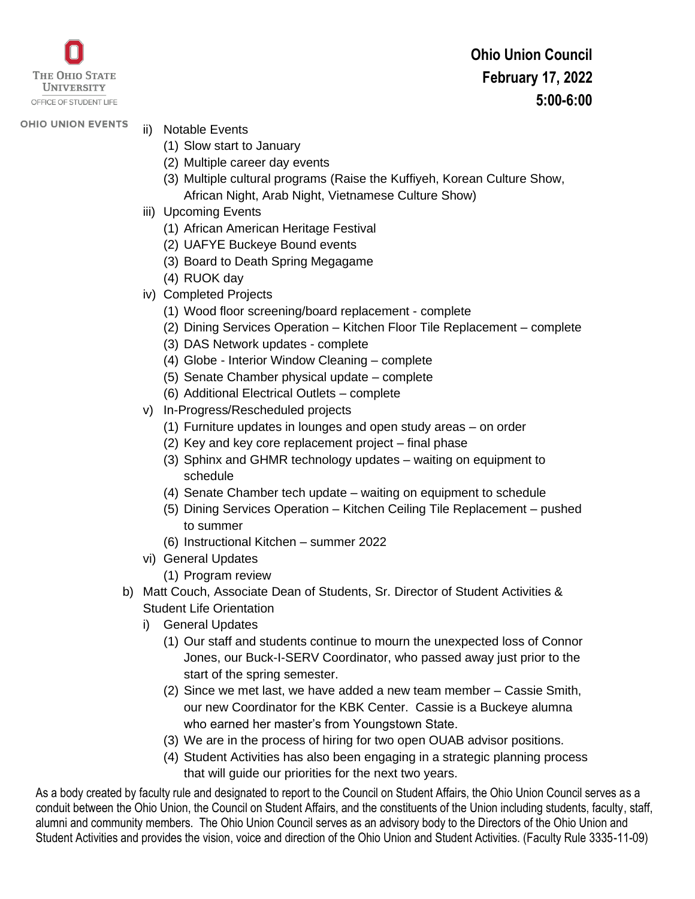

**OHIO UNION EVENTS** 

- ii) Notable Events (1) Slow start to January
	- (2) Multiple career day events
	- (3) Multiple cultural programs (Raise the Kuffiyeh, Korean Culture Show, African Night, Arab Night, Vietnamese Culture Show)
- iii) Upcoming Events
	- (1) African American Heritage Festival
	- (2) UAFYE Buckeye Bound events
	- (3) Board to Death Spring Megagame
	- (4) RUOK day
- iv) Completed Projects
	- (1) Wood floor screening/board replacement complete
	- (2) Dining Services Operation Kitchen Floor Tile Replacement complete
	- (3) DAS Network updates complete
	- (4) Globe Interior Window Cleaning complete
	- (5) Senate Chamber physical update complete
	- (6) Additional Electrical Outlets complete
- v) In-Progress/Rescheduled projects
	- (1) Furniture updates in lounges and open study areas on order
	- (2) Key and key core replacement project final phase
	- (3) Sphinx and GHMR technology updates waiting on equipment to schedule
	- (4) Senate Chamber tech update waiting on equipment to schedule
	- (5) Dining Services Operation Kitchen Ceiling Tile Replacement pushed to summer
	- (6) Instructional Kitchen summer 2022
- vi) General Updates
	- (1) Program review
- b) Matt Couch, Associate Dean of Students, Sr. Director of Student Activities & Student Life Orientation
	- i) General Updates
		- (1) Our staff and students continue to mourn the unexpected loss of Connor Jones, our Buck-I-SERV Coordinator, who passed away just prior to the start of the spring semester.
		- (2) Since we met last, we have added a new team member Cassie Smith, our new Coordinator for the KBK Center. Cassie is a Buckeye alumna who earned her master's from Youngstown State.
		- (3) We are in the process of hiring for two open OUAB advisor positions.
		- (4) Student Activities has also been engaging in a strategic planning process that will guide our priorities for the next two years.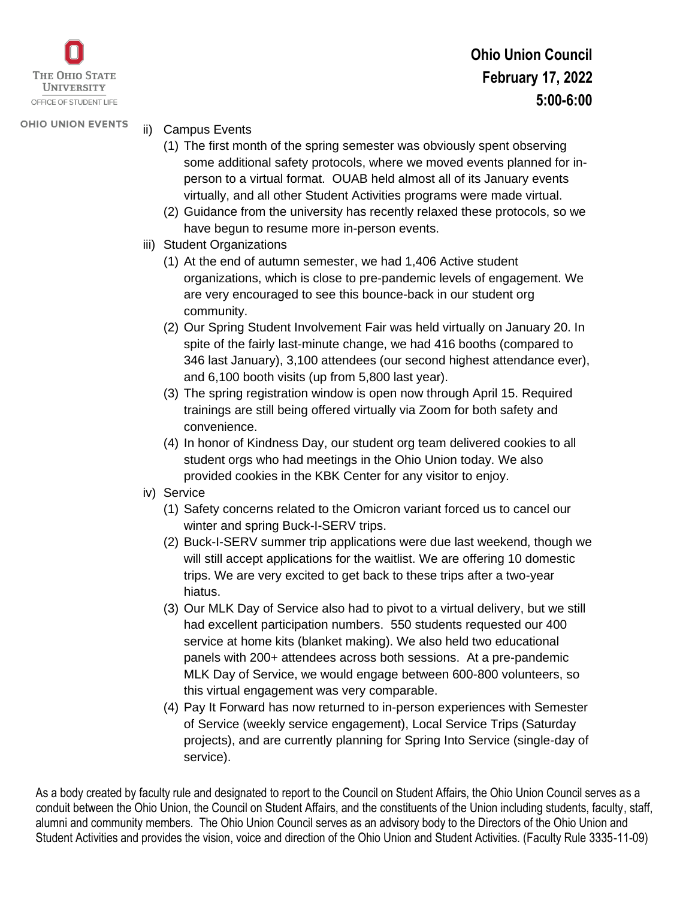

**OHIO UNION EVENTS** 

- ii) Campus Events
	- (1) The first month of the spring semester was obviously spent observing some additional safety protocols, where we moved events planned for inperson to a virtual format. OUAB held almost all of its January events virtually, and all other Student Activities programs were made virtual.
	- (2) Guidance from the university has recently relaxed these protocols, so we have begun to resume more in-person events.
	- iii) Student Organizations
		- (1) At the end of autumn semester, we had 1,406 Active student organizations, which is close to pre-pandemic levels of engagement. We are very encouraged to see this bounce-back in our student org community.
		- (2) Our Spring Student Involvement Fair was held virtually on January 20. In spite of the fairly last-minute change, we had 416 booths (compared to 346 last January), 3,100 attendees (our second highest attendance ever), and 6,100 booth visits (up from 5,800 last year).
		- (3) The spring registration window is open now through April 15. Required trainings are still being offered virtually via Zoom for both safety and convenience.
		- (4) In honor of Kindness Day, our student org team delivered cookies to all student orgs who had meetings in the Ohio Union today. We also provided cookies in the KBK Center for any visitor to enjoy.
	- iv) Service
		- (1) Safety concerns related to the Omicron variant forced us to cancel our winter and spring Buck-I-SERV trips.
		- (2) Buck-I-SERV summer trip applications were due last weekend, though we will still accept applications for the waitlist. We are offering 10 domestic trips. We are very excited to get back to these trips after a two-year hiatus.
		- (3) Our MLK Day of Service also had to pivot to a virtual delivery, but we still had excellent participation numbers. 550 students requested our 400 service at home kits (blanket making). We also held two educational panels with 200+ attendees across both sessions. At a pre-pandemic MLK Day of Service, we would engage between 600-800 volunteers, so this virtual engagement was very comparable.
		- (4) Pay It Forward has now returned to in-person experiences with Semester of Service (weekly service engagement), Local Service Trips (Saturday projects), and are currently planning for Spring Into Service (single-day of service).